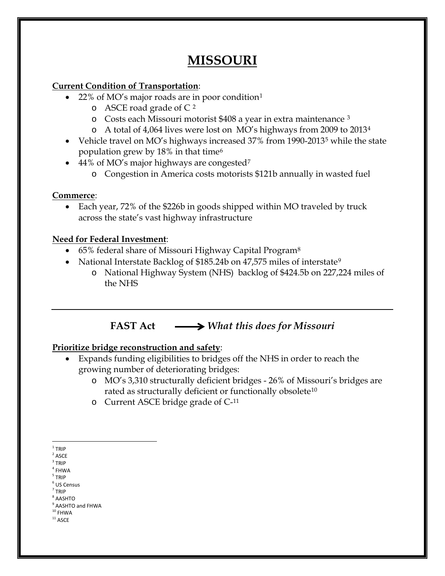# **MISSOURI**

## **Current Condition of Transportation**:

- 22% of MO's major roads are in poor condition[1](#page-0-0)
	- $\circ$  ASCE road grade of C<sup>[2](#page-0-1)</sup>
	- o Costs each Missouri motorist \$408 a year in extra maintenance [3](#page-0-2)
	- o A total of 4,064 lives were lost on MO's highways from 2009 to 2013[4](#page-0-3)
- Vehicle travel on MO's highways increased 37% from 1990-2013<sup>[5](#page-0-4)</sup> while the state population grew by 18% in that time[6](#page-0-5)
- 44% of MO's major highways are congested<sup>[7](#page-0-6)</sup>
	- o Congestion in America costs motorists \$121b annually in wasted fuel

### **Commerce**:

• Each year, 72% of the \$226b in goods shipped within MO traveled by truck across the state's vast highway infrastructure

### **Need for Federal Investment**:

- 65% federal share of Missouri Highway Capital Program<sup>[8](#page-0-7)</sup>
- National Interstate Backlog of \$185.24b on 47,575 miles of interstate<sup>[9](#page-0-8)</sup>
	- o National Highway System (NHS) backlog of \$424.5b on 227,224 miles of the NHS

# **FAST Act** *What this does for Missouri*

# **Prioritize bridge reconstruction and safety**:

- Expands funding eligibilities to bridges off the NHS in order to reach the growing number of deteriorating bridges:
	- o MO's 3,310 structurally deficient bridges 26% of Missouri's bridges are rated as structurally deficient or functionally obsolete<sup>[10](#page-0-9)</sup>
	- o Current ASCE bridge grade of C-[11](#page-0-10)

- <span id="page-0-3"></span><span id="page-0-2"></span> $3$  TRIP
- $4$  FHWA
- <span id="page-0-5"></span><span id="page-0-4"></span> $<sup>5</sup>$  TRIP</sup>
- <sup>6</sup> US Census  $<sup>7</sup>$  TRIP</sup>
- <span id="page-0-7"></span><span id="page-0-6"></span> $8$  AASHTO
- <sup>9</sup> AASHTO and FHWA
- <span id="page-0-10"></span><span id="page-0-9"></span><span id="page-0-8"></span> $10$  FHWA  $^{\rm 11}$  ASCE
	-

<span id="page-0-0"></span> $1$  TRIP

<span id="page-0-1"></span> $2$  ASCE